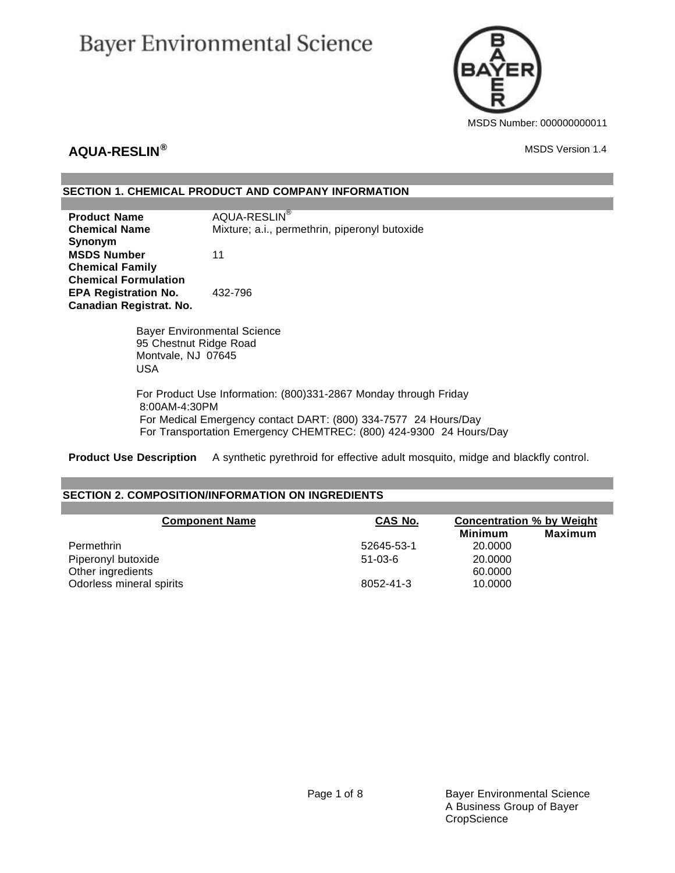# **Bayer Environmental Science**



### **AQUA-RESLIN®** MSDS Version 1.4

### **SECTION 1. CHEMICAL PRODUCT AND COMPANY INFORMATION**

**Product Name** AQUA-RESLIN<sup>®</sup> **Chemical Name** Mixture; a.i., permethrin, piperonyl butoxide **Synonym MSDS Number** 11 **Chemical Family Chemical Formulation EPA Registration No.** 432-796 **Canadian Registrat. No.**

> Bayer Environmental Science 95 Chestnut Ridge Road Montvale, NJ 07645 USA

For Product Use Information: (800)331-2867 Monday through Friday 8:00AM-4:30PM For Medical Emergency contact DART: (800) 334-7577 24 Hours/Day For Transportation Emergency CHEMTREC: (800) 424-9300 24 Hours/Day

**Product Use Description** A synthetic pyrethroid for effective adult mosquito, midge and blackfly control.

### **SECTION 2. COMPOSITION/INFORMATION ON INGREDIENTS**

| <b>Component Name</b>    | CAS No.       | <b>Concentration % by Weight</b> |  |
|--------------------------|---------------|----------------------------------|--|
|                          |               | <b>Maximum</b><br><b>Minimum</b> |  |
| Permethrin               | 52645-53-1    | 20.0000                          |  |
| Piperonyl butoxide       | $51 - 03 - 6$ | 20,0000                          |  |
| Other ingredients        |               | 60,0000                          |  |
| Odorless mineral spirits | 8052-41-3     | 10.0000                          |  |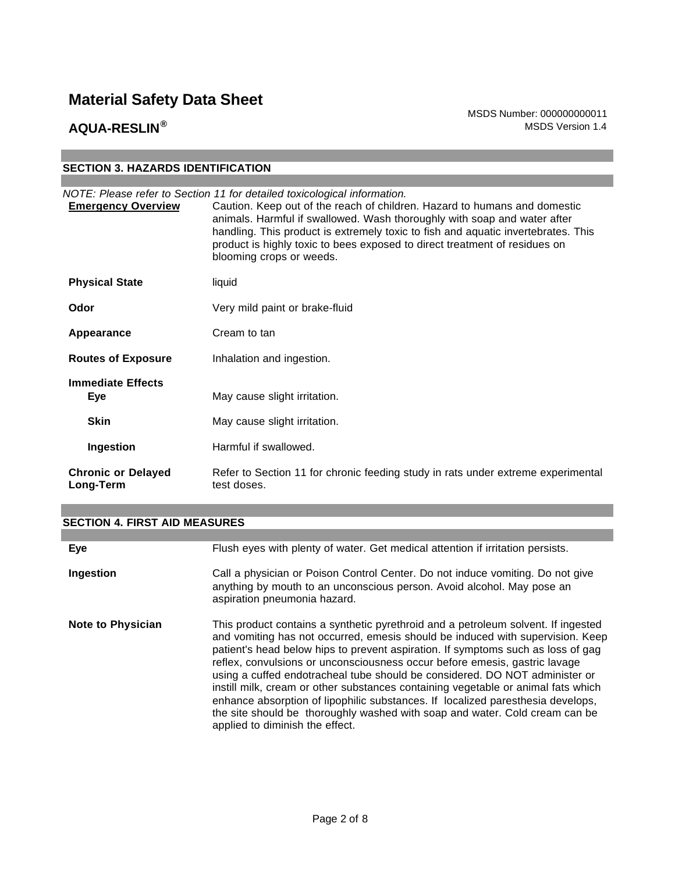MSDS Number: 000000000011 **AQUA-RESLIN<sup>®</sup>** MSDS Version 1.4

#### **SECTION 3. HAZARDS IDENTIFICATION**

| <b>Emergency Overview</b>                      | NOTE: Please refer to Section 11 for detailed toxicological information.<br>Caution. Keep out of the reach of children. Hazard to humans and domestic<br>animals. Harmful if swallowed. Wash thoroughly with soap and water after<br>handling. This product is extremely toxic to fish and aquatic invertebrates. This<br>product is highly toxic to bees exposed to direct treatment of residues on<br>blooming crops or weeds. |
|------------------------------------------------|----------------------------------------------------------------------------------------------------------------------------------------------------------------------------------------------------------------------------------------------------------------------------------------------------------------------------------------------------------------------------------------------------------------------------------|
| <b>Physical State</b>                          | liquid                                                                                                                                                                                                                                                                                                                                                                                                                           |
| Odor                                           | Very mild paint or brake-fluid                                                                                                                                                                                                                                                                                                                                                                                                   |
| Appearance                                     | Cream to tan                                                                                                                                                                                                                                                                                                                                                                                                                     |
| <b>Routes of Exposure</b>                      | Inhalation and ingestion.                                                                                                                                                                                                                                                                                                                                                                                                        |
| <b>Immediate Effects</b><br>Eye<br><b>Skin</b> | May cause slight irritation.<br>May cause slight irritation.                                                                                                                                                                                                                                                                                                                                                                     |
| Ingestion                                      | Harmful if swallowed.                                                                                                                                                                                                                                                                                                                                                                                                            |
| <b>Chronic or Delayed</b><br>Long-Term         | Refer to Section 11 for chronic feeding study in rats under extreme experimental<br>test doses.                                                                                                                                                                                                                                                                                                                                  |

## **SECTION 4. FIRST AID MEASURES**

| Eye                      | Flush eyes with plenty of water. Get medical attention if irritation persists.                                                                                                                                                                                                                                                                                                                                                                                                                                                                                                                                                                                                                                 |
|--------------------------|----------------------------------------------------------------------------------------------------------------------------------------------------------------------------------------------------------------------------------------------------------------------------------------------------------------------------------------------------------------------------------------------------------------------------------------------------------------------------------------------------------------------------------------------------------------------------------------------------------------------------------------------------------------------------------------------------------------|
| Ingestion                | Call a physician or Poison Control Center. Do not induce vomiting. Do not give<br>anything by mouth to an unconscious person. Avoid alcohol. May pose an<br>aspiration pneumonia hazard.                                                                                                                                                                                                                                                                                                                                                                                                                                                                                                                       |
| <b>Note to Physician</b> | This product contains a synthetic pyrethroid and a petroleum solvent. If ingested<br>and vomiting has not occurred, emesis should be induced with supervision. Keep<br>patient's head below hips to prevent aspiration. If symptoms such as loss of gag<br>reflex, convulsions or unconsciousness occur before emesis, gastric lavage<br>using a cuffed endotracheal tube should be considered. DO NOT administer or<br>instill milk, cream or other substances containing vegetable or animal fats which<br>enhance absorption of lipophilic substances. If localized paresthesia develops,<br>the site should be thoroughly washed with soap and water. Cold cream can be<br>applied to diminish the effect. |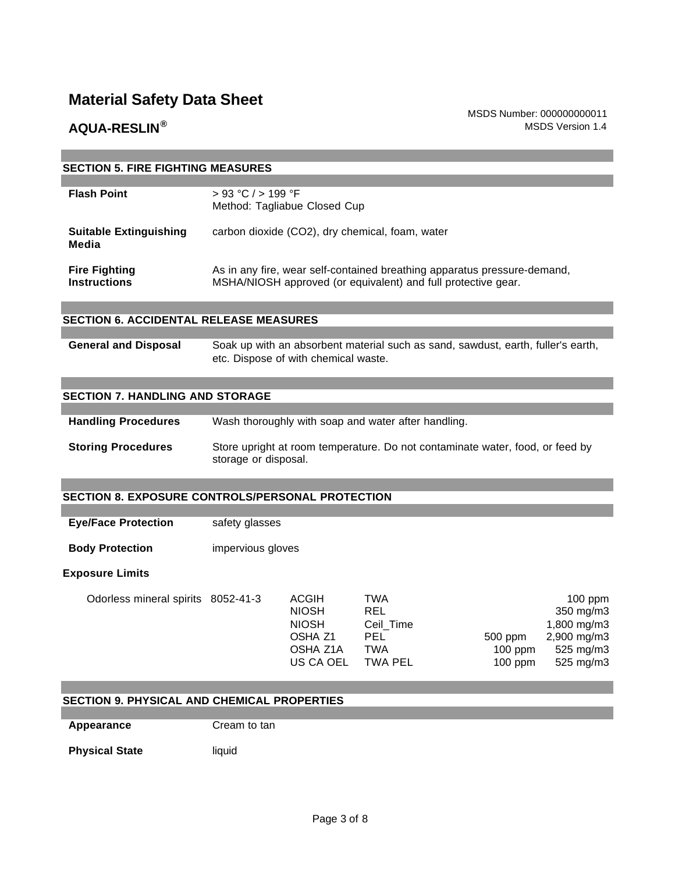MSDS Number: 000000000011 **AQUA-RESLIN<sup>®</sup>** MSDS Version 1.4

| <b>SECTION 5. FIRE FIGHTING MEASURES</b>    |                                                                                                                                           |  |  |
|---------------------------------------------|-------------------------------------------------------------------------------------------------------------------------------------------|--|--|
|                                             |                                                                                                                                           |  |  |
| <b>Flash Point</b>                          | > 93 °C / > 199 °F<br>Method: Tagliabue Closed Cup                                                                                        |  |  |
| <b>Suitable Extinguishing</b><br>Media      | carbon dioxide (CO2), dry chemical, foam, water                                                                                           |  |  |
| <b>Fire Fighting</b><br><b>Instructions</b> | As in any fire, wear self-contained breathing apparatus pressure-demand,<br>MSHA/NIOSH approved (or equivalent) and full protective gear. |  |  |

#### **SECTION 6. ACCIDENTAL RELEASE MEASURES**

**General and Disposal** Soak up with an absorbent material such as sand, sawdust, earth, fuller's earth, etc. Dispose of with chemical waste.

#### **SECTION 7. HANDLING AND STORAGE**

**Handling Procedures** Wash thoroughly with soap and water after handling.

**Storing Procedures** Store upright at room temperature. Do not contaminate water, food, or feed by storage or disposal.

### **SECTION 8. EXPOSURE CONTROLS/PERSONAL PROTECTION**

| <b>Eye/Face Protection</b> | safety glasses |
|----------------------------|----------------|
|----------------------------|----------------|

**Body Protection impervious gloves** 

#### **Exposure Limits**

| ACGIH                              | TWA            |           | $100$ ppm              |
|------------------------------------|----------------|-----------|------------------------|
| <b>NIOSH</b>                       | REL            |           | 350 mg/m3              |
| <b>NIOSH</b>                       | Ceil Time      |           | 1,800 mg/m3            |
| OSHA Z1                            | PEL            | 500 ppm   | $2,900 \text{ mg/m}$ 3 |
| OSHA Z1A                           | TWA            | $100$ ppm | 525 mg/m3              |
| US CA OEL                          | <b>TWA PEL</b> | $100$ ppm | 525 mg/m3              |
| Odorless mineral spirits 8052-41-3 |                |           |                        |

#### **SECTION 9. PHYSICAL AND CHEMICAL PROPERTIES**

**Appearance** Cream to tan

**Physical State** liquid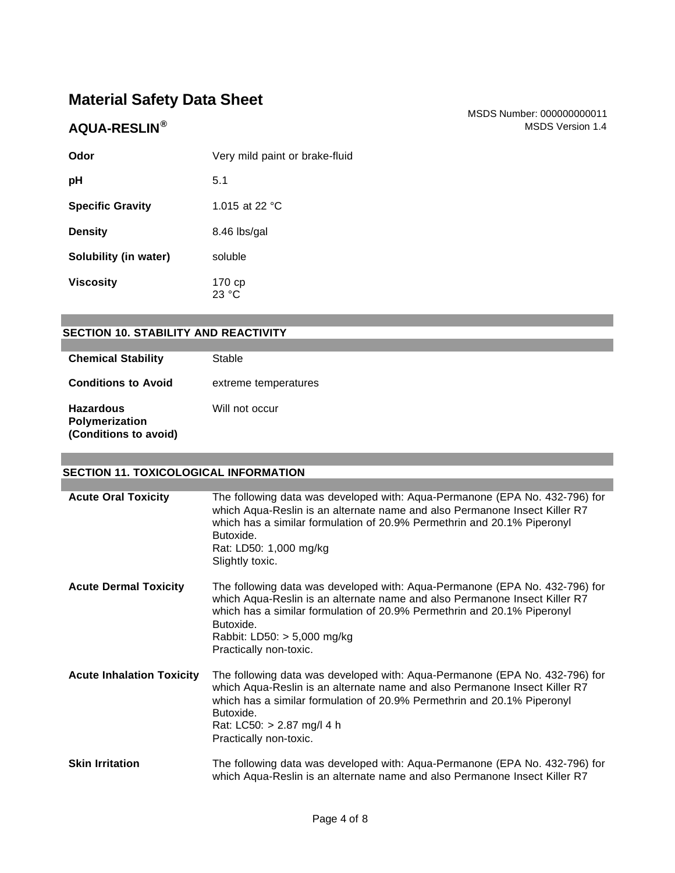| Odor                    | Very mild paint or brake-fluid |
|-------------------------|--------------------------------|
| рH                      | 5.1                            |
| <b>Specific Gravity</b> | 1.015 at 22 $^{\circ}$ C       |
| <b>Density</b>          | 8.46 lbs/gal                   |
| Solubility (in water)   | soluble                        |
| <b>Viscosity</b>        | 170 cp<br>23 °C                |

MSDS Number: 000000000011 **AQUA-RESLIN<sup>®</sup>** MSDS Version 1.4

#### **SECTION 10. STABILITY AND REACTIVITY**

**Chemical Stability** Stable

| <b>Conditions to Avoid</b> | extreme temperatures |
|----------------------------|----------------------|
|                            |                      |

**Hazardous Polymerization (Conditions to avoid)** Will not occur

### **SECTION 11. TOXICOLOGICAL INFORMATION**

| <b>Acute Oral Toxicity</b>       | The following data was developed with: Aqua-Permanone (EPA No. 432-796) for<br>which Aqua-Reslin is an alternate name and also Permanone Insect Killer R7<br>which has a similar formulation of 20.9% Permethrin and 20.1% Piperonyl<br>Butoxide.<br>Rat: LD50: 1,000 mg/kg<br>Slightly toxic.               |
|----------------------------------|--------------------------------------------------------------------------------------------------------------------------------------------------------------------------------------------------------------------------------------------------------------------------------------------------------------|
| <b>Acute Dermal Toxicity</b>     | The following data was developed with: Aqua-Permanone (EPA No. 432-796) for<br>which Aqua-Reslin is an alternate name and also Permanone Insect Killer R7<br>which has a similar formulation of 20.9% Permethrin and 20.1% Piperonyl<br>Butoxide.<br>Rabbit: LD50: $>$ 5,000 mg/kg<br>Practically non-toxic. |
| <b>Acute Inhalation Toxicity</b> | The following data was developed with: Aqua-Permanone (EPA No. 432-796) for<br>which Aqua-Reslin is an alternate name and also Permanone Insect Killer R7<br>which has a similar formulation of 20.9% Permethrin and 20.1% Piperonyl<br>Butoxide.<br>Rat: LC50: $> 2.87$ mg/l 4 h<br>Practically non-toxic.  |
| <b>Skin Irritation</b>           | The following data was developed with: Aqua-Permanone (EPA No. 432-796) for<br>which Aqua-Reslin is an alternate name and also Permanone Insect Killer R7                                                                                                                                                    |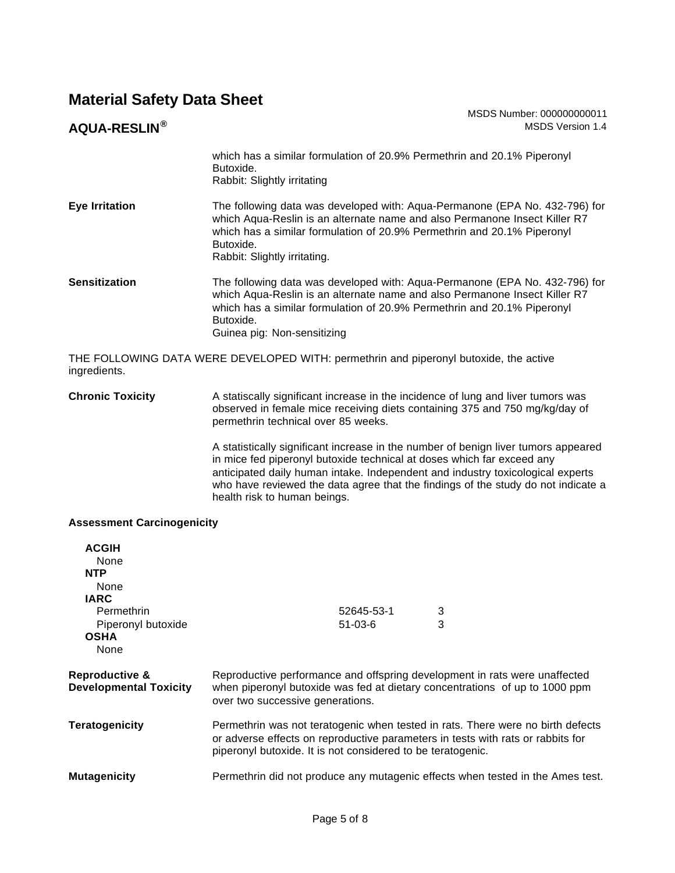$AQUA-RESLIN<sup>®</sup>$ 

| MSDS Number: 000000000011 |
|---------------------------|
| MSDS Version 1.4          |

|                       | which has a similar formulation of 20.9% Permethrin and 20.1% Piperonyl<br>Butoxide.<br>Rabbit: Slightly irritating                                                                                                                                                               |
|-----------------------|-----------------------------------------------------------------------------------------------------------------------------------------------------------------------------------------------------------------------------------------------------------------------------------|
| <b>Eve Irritation</b> | The following data was developed with: Aqua-Permanone (EPA No. 432-796) for<br>which Aqua-Reslin is an alternate name and also Permanone Insect Killer R7<br>which has a similar formulation of 20.9% Permethrin and 20.1% Piperonyl<br>Butoxide.<br>Rabbit: Slightly irritating. |
| <b>Sensitization</b>  | The following data was developed with: Aqua-Permanone (EPA No. 432-796) for<br>which Aqua-Reslin is an alternate name and also Permanone Insect Killer R7<br>which has a similar formulation of 20.9% Permethrin and 20.1% Piperonyl<br>Butoxide.<br>Guinea pig: Non-sensitizing  |

THE FOLLOWING DATA WERE DEVELOPED WITH: permethrin and piperonyl butoxide, the active ingredients.

**Chronic Toxicity** A statiscally significant increase in the incidence of lung and liver tumors was observed in female mice receiving diets containing 375 and 750 mg/kg/day of permethrin technical over 85 weeks.

> A statistically significant increase in the number of benign liver tumors appeared in mice fed piperonyl butoxide technical at doses which far exceed any anticipated daily human intake. Independent and industry toxicological experts who have reviewed the data agree that the findings of the study do not indicate a health risk to human beings.

#### **Assessment Carcinogenicity**

| <b>ACGIH</b><br>None<br><b>NTP</b><br>None<br><b>IARC</b><br>Permethrin<br>Piperonyl butoxide<br><b>OSHA</b><br>None | 52645-53-1<br>$51 - 03 - 6$                                                                                                                                                                                                       | 3<br>3 |  |
|----------------------------------------------------------------------------------------------------------------------|-----------------------------------------------------------------------------------------------------------------------------------------------------------------------------------------------------------------------------------|--------|--|
| <b>Reproductive &amp;</b><br><b>Developmental Toxicity</b>                                                           | Reproductive performance and offspring development in rats were unaffected<br>when piperonyl butoxide was fed at dietary concentrations of up to 1000 ppm<br>over two successive generations.                                     |        |  |
| Teratogenicity                                                                                                       | Permethrin was not teratogenic when tested in rats. There were no birth defects<br>or adverse effects on reproductive parameters in tests with rats or rabbits for<br>piperonyl butoxide. It is not considered to be teratogenic. |        |  |
| <b>Mutagenicity</b>                                                                                                  | Permethrin did not produce any mutagenic effects when tested in the Ames test.                                                                                                                                                    |        |  |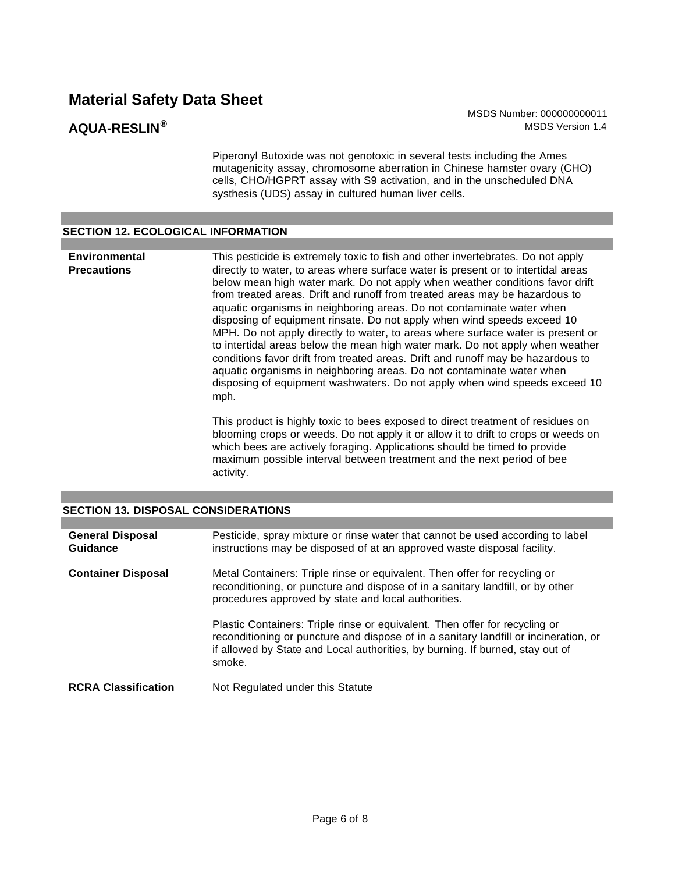Piperonyl Butoxide was not genotoxic in several tests including the Ames mutagenicity assay, chromosome aberration in Chinese hamster ovary (CHO) cells, CHO/HGPRT assay with S9 activation, and in the unscheduled DNA systhesis (UDS) assay in cultured human liver cells.

#### **SECTION 12. ECOLOGICAL INFORMATION**

**Environmental Precautions** This pesticide is extremely toxic to fish and other invertebrates. Do not apply directly to water, to areas where surface water is present or to intertidal areas below mean high water mark. Do not apply when weather conditions favor drift from treated areas. Drift and runoff from treated areas may be hazardous to aquatic organisms in neighboring areas. Do not contaminate water when disposing of equipment rinsate. Do not apply when wind speeds exceed 10 MPH. Do not apply directly to water, to areas where surface water is present or to intertidal areas below the mean high water mark. Do not apply when weather conditions favor drift from treated areas. Drift and runoff may be hazardous to aquatic organisms in neighboring areas. Do not contaminate water when disposing of equipment washwaters. Do not apply when wind speeds exceed 10 mph.

> This product is highly toxic to bees exposed to direct treatment of residues on blooming crops or weeds. Do not apply it or allow it to drift to crops or weeds on which bees are actively foraging. Applications should be timed to provide maximum possible interval between treatment and the next period of bee activity.

#### **SECTION 13. DISPOSAL CONSIDERATIONS**

| <b>General Disposal</b><br><b>Guidance</b> | Pesticide, spray mixture or rinse water that cannot be used according to label<br>instructions may be disposed of at an approved waste disposal facility.                                                                                                                                                                                                                                                                                                                            |
|--------------------------------------------|--------------------------------------------------------------------------------------------------------------------------------------------------------------------------------------------------------------------------------------------------------------------------------------------------------------------------------------------------------------------------------------------------------------------------------------------------------------------------------------|
| <b>Container Disposal</b>                  | Metal Containers: Triple rinse or equivalent. Then offer for recycling or<br>reconditioning, or puncture and dispose of in a sanitary landfill, or by other<br>procedures approved by state and local authorities.<br>Plastic Containers: Triple rinse or equivalent. Then offer for recycling or<br>reconditioning or puncture and dispose of in a sanitary landfill or incineration, or<br>if allowed by State and Local authorities, by burning. If burned, stay out of<br>smoke. |
| <b>RCRA Classification</b>                 | Not Regulated under this Statute                                                                                                                                                                                                                                                                                                                                                                                                                                                     |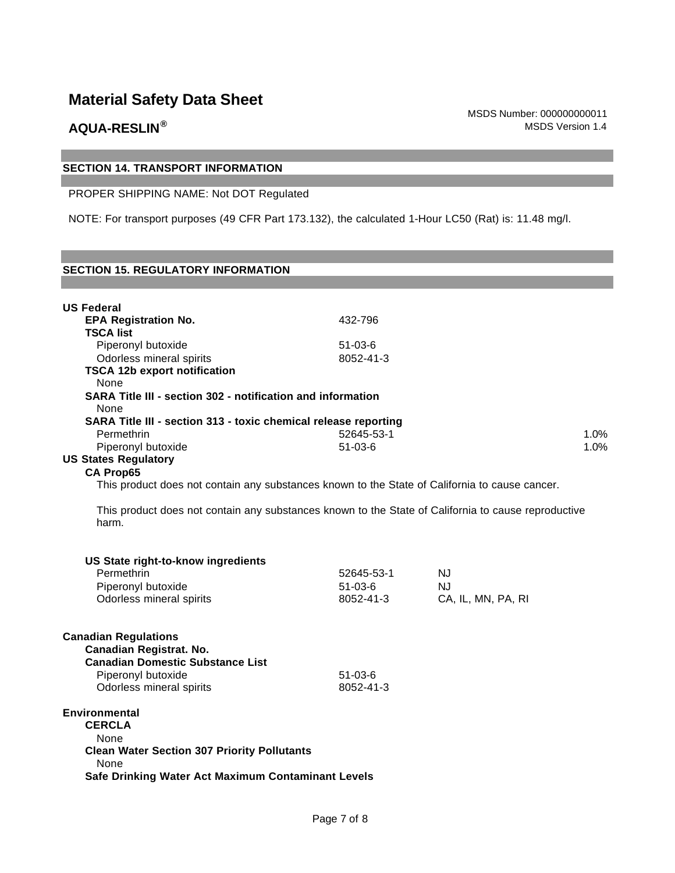### **SECTION 14. TRANSPORT INFORMATION**

PROPER SHIPPING NAME: Not DOT Regulated

NOTE: For transport purposes (49 CFR Part 173.132), the calculated 1-Hour LC50 (Rat) is: 11.48 mg/l.

### **SECTION 15. REGULATORY INFORMATION**

| <b>US Federal</b><br><b>EPA Registration No.</b>                                                                                                           | 432-796                    |                    |      |  |  |  |  |
|------------------------------------------------------------------------------------------------------------------------------------------------------------|----------------------------|--------------------|------|--|--|--|--|
| <b>TSCA list</b>                                                                                                                                           |                            |                    |      |  |  |  |  |
| Piperonyl butoxide                                                                                                                                         | $51 - 03 - 6$              |                    |      |  |  |  |  |
| Odorless mineral spirits                                                                                                                                   | 8052-41-3                  |                    |      |  |  |  |  |
| <b>TSCA 12b export notification</b><br><b>None</b>                                                                                                         |                            |                    |      |  |  |  |  |
| SARA Title III - section 302 - notification and information                                                                                                |                            |                    |      |  |  |  |  |
| None                                                                                                                                                       |                            |                    |      |  |  |  |  |
| SARA Title III - section 313 - toxic chemical release reporting                                                                                            |                            |                    |      |  |  |  |  |
| Permethrin                                                                                                                                                 | 52645-53-1                 |                    | 1.0% |  |  |  |  |
| Piperonyl butoxide                                                                                                                                         | $51 - 03 - 6$              |                    | 1.0% |  |  |  |  |
| <b>US States Regulatory</b>                                                                                                                                |                            |                    |      |  |  |  |  |
| <b>CA Prop65</b>                                                                                                                                           |                            |                    |      |  |  |  |  |
| This product does not contain any substances known to the State of California to cause cancer.                                                             |                            |                    |      |  |  |  |  |
| This product does not contain any substances known to the State of California to cause reproductive<br>harm.                                               |                            |                    |      |  |  |  |  |
| US State right-to-know ingredients                                                                                                                         |                            |                    |      |  |  |  |  |
| Permethrin                                                                                                                                                 | 52645-53-1                 | <b>NJ</b>          |      |  |  |  |  |
| Piperonyl butoxide                                                                                                                                         | $51 - 03 - 6$              | <b>NJ</b>          |      |  |  |  |  |
| Odorless mineral spirits                                                                                                                                   | 8052-41-3                  | CA, IL, MN, PA, RI |      |  |  |  |  |
| <b>Canadian Regulations</b><br><b>Canadian Registrat. No.</b><br><b>Canadian Domestic Substance List</b><br>Piperonyl butoxide<br>Odorless mineral spirits | $51 - 03 - 6$<br>8052-41-3 |                    |      |  |  |  |  |
| Environmental<br><b>CERCLA</b><br>None<br><b>Clean Water Section 307 Priority Pollutants</b><br>None<br>Safe Drinking Water Act Maximum Contaminant Levels |                            |                    |      |  |  |  |  |